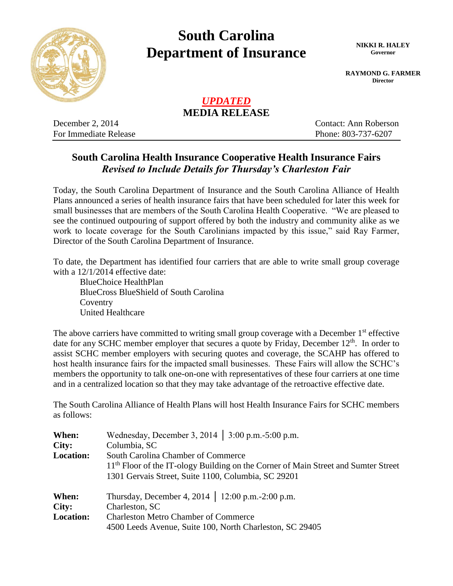

## **South Carolina Department of Insurance NIKKI R. HALEY**

**Governor**

**RAYMOND G. FARMER Director**

## *UPDATED* **MEDIA RELEASE**

December 2, 2014 Contact: Ann Roberson For Immediate Release Phone: 803-737-6207

## **South Carolina Health Insurance Cooperative Health Insurance Fairs**  *Revised to Include Details for Thursday's Charleston Fair*

Today, the South Carolina Department of Insurance and the South Carolina Alliance of Health Plans announced a series of health insurance fairs that have been scheduled for later this week for small businesses that are members of the South Carolina Health Cooperative. "We are pleased to see the continued outpouring of support offered by both the industry and community alike as we work to locate coverage for the South Carolinians impacted by this issue," said Ray Farmer, Director of the South Carolina Department of Insurance.

To date, the Department has identified four carriers that are able to write small group coverage with a  $12/1/2014$  effective date:

BlueChoice HealthPlan BlueCross BlueShield of South Carolina **Coventry** United Healthcare

The above carriers have committed to writing small group coverage with a December  $1<sup>st</sup>$  effective date for any SCHC member employer that secures a quote by Friday, December  $12<sup>th</sup>$ . In order to assist SCHC member employers with securing quotes and coverage, the SCAHP has offered to host health insurance fairs for the impacted small businesses. These Fairs will allow the SCHC's members the opportunity to talk one-on-one with representatives of these four carriers at one time and in a centralized location so that they may take advantage of the retroactive effective date.

The South Carolina Alliance of Health Plans will host Health Insurance Fairs for SCHC members as follows:

| When:<br>City:<br><b>Location:</b> | Wednesday, December 3, 2014   $3:00$ p.m. -5:00 p.m.<br>Columbia, SC<br>South Carolina Chamber of Commerce                                            |  |  |
|------------------------------------|-------------------------------------------------------------------------------------------------------------------------------------------------------|--|--|
|                                    | 11 <sup>th</sup> Floor of the IT-ology Building on the Corner of Main Street and Sumter Street<br>1301 Gervais Street, Suite 1100, Columbia, SC 29201 |  |  |
| When:                              | Thursday, December 4, 2014   12:00 p.m. -2:00 p.m.                                                                                                    |  |  |
| City:                              | Charleston, SC                                                                                                                                        |  |  |
| <b>Location:</b>                   | <b>Charleston Metro Chamber of Commerce</b>                                                                                                           |  |  |
|                                    | 4500 Leeds Avenue, Suite 100, North Charleston, SC 29405                                                                                              |  |  |